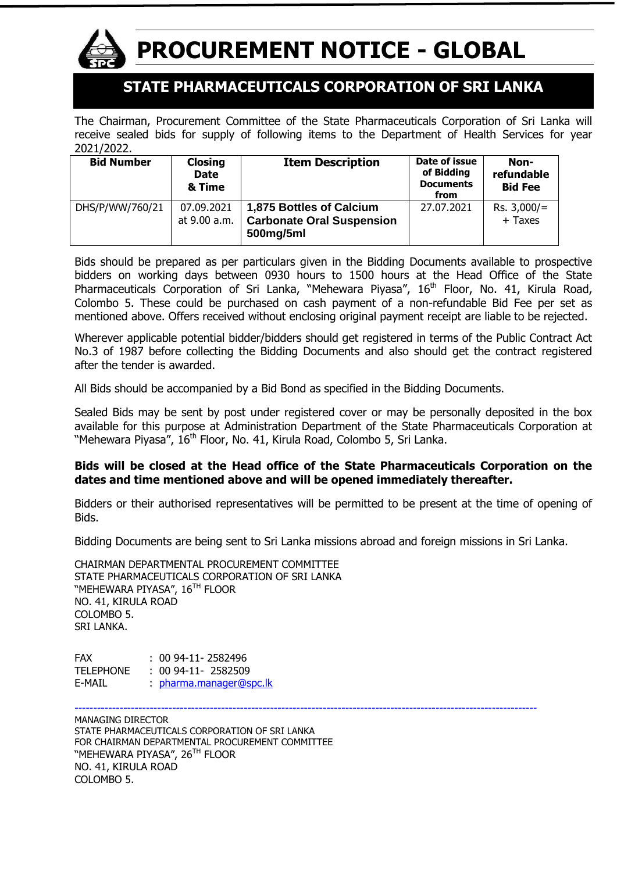

# **PROCUREMENT NOTICE - GLOBAL**

## **STATE PHARMACEUTICALS CORPORATION OF SRI LANKA**

The Chairman, Procurement Committee of the State Pharmaceuticals Corporation of Sri Lanka will receive sealed bids for supply of following items to the Department of Health Services for year 2021/2022.

| <b>Bid Number</b> | <b>Closing</b><br><b>Date</b><br>& Time | <b>Item Description</b>                                                   | Date of issue<br>of Bidding<br><b>Documents</b><br>from | Non-<br>refundable<br><b>Bid Fee</b> |
|-------------------|-----------------------------------------|---------------------------------------------------------------------------|---------------------------------------------------------|--------------------------------------|
| DHS/P/WW/760/21   | 07.09.2021<br>at 9.00 a.m.              | 1,875 Bottles of Calcium<br><b>Carbonate Oral Suspension</b><br>500mg/5ml | 27.07.2021                                              | $Rs. 3,000/=$<br>$+$ Taxes           |

Bids should be prepared as per particulars given in the Bidding Documents available to prospective bidders on working days between 0930 hours to 1500 hours at the Head Office of the State Pharmaceuticals Corporation of Sri Lanka, "Mehewara Piyasa", 16<sup>th</sup> Floor, No. 41, Kirula Road, Colombo 5. These could be purchased on cash payment of a non-refundable Bid Fee per set as mentioned above. Offers received without enclosing original payment receipt are liable to be rejected.

Wherever applicable potential bidder/bidders should get registered in terms of the Public Contract Act No.3 of 1987 before collecting the Bidding Documents and also should get the contract registered after the tender is awarded.

All Bids should be accompanied by a Bid Bond as specified in the Bidding Documents.

Sealed Bids may be sent by post under registered cover or may be personally deposited in the box available for this purpose at Administration Department of the State Pharmaceuticals Corporation at "Mehewara Piyasa", 16<sup>th</sup> Floor, No. 41, Kirula Road, Colombo 5, Sri Lanka.

#### **Bids will be closed at the Head office of the State Pharmaceuticals Corporation on the dates and time mentioned above and will be opened immediately thereafter.**

Bidders or their authorised representatives will be permitted to be present at the time of opening of Bids.

Bidding Documents are being sent to Sri Lanka missions abroad and foreign missions in Sri Lanka.

CHAIRMAN DEPARTMENTAL PROCUREMENT COMMITTEE STATE PHARMACEUTICALS CORPORATION OF SRI LANKA "MEHEWARA PIYASA", 16<sup>th</sup> Floor NO. 41, KIRULA ROAD COLOMBO 5. SRI LANKA.

FAX : 00 94-11- 2582496 TELEPHONE : 00 94-11- 2582509 E-MAIL : [pharma.manager@spc.lk](mailto:pharma.manager@spc.lk)

--------------------------------------------------------------------------------------------------------------------------- MANAGING DIRECTOR STATE PHARMACEUTICALS CORPORATION OF SRI LANKA FOR CHAIRMAN DEPARTMENTAL PROCUREMENT COMMITTEE "MEHEWARA PIYASA", 26<sup>th</sup> Floor NO. 41, KIRULA ROAD COLOMBO 5.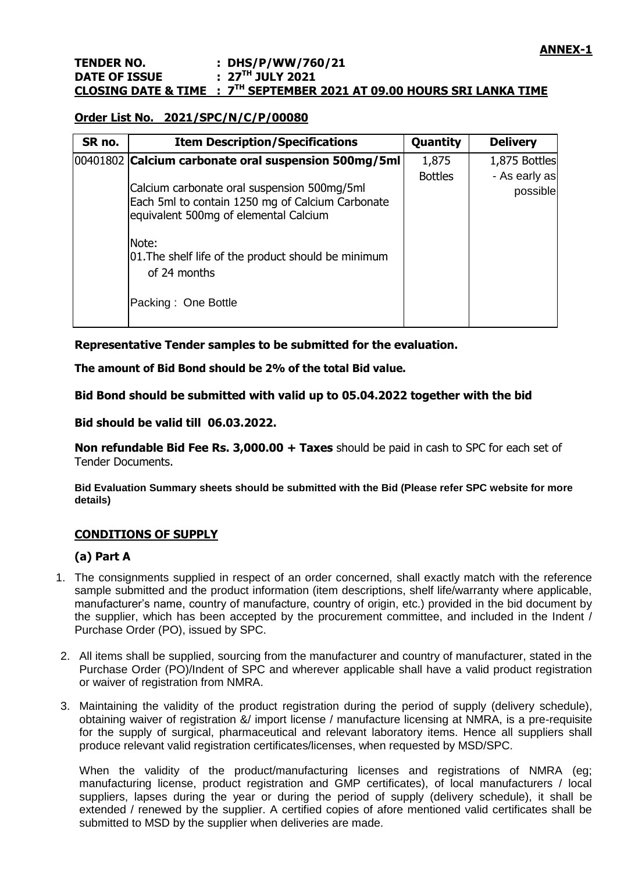#### **Order List No. 2021/SPC/N/C/P/00080**

| SR no. | <b>Item Description/Specifications</b>                                                                                                                                                                                                          | <b>Quantity</b> | <b>Delivery</b>           |
|--------|-------------------------------------------------------------------------------------------------------------------------------------------------------------------------------------------------------------------------------------------------|-----------------|---------------------------|
|        | 00401802 Calcium carbonate oral suspension 500mg/5ml                                                                                                                                                                                            | 1,875           | 1,875 Bottles             |
|        | Calcium carbonate oral suspension 500mg/5ml<br>Each 5ml to contain 1250 mg of Calcium Carbonate<br>equivalent 500mg of elemental Calcium<br>Note:<br>01. The shelf life of the product should be minimum<br>of 24 months<br>Packing: One Bottle | <b>Bottles</b>  | - As early as<br>possible |

**Representative Tender samples to be submitted for the evaluation.**

**The amount of Bid Bond should be 2% of the total Bid value.**

**Bid Bond should be submitted with valid up to 05.04.2022 together with the bid**

**Bid should be valid till 06.03.2022.**

**Non refundable Bid Fee Rs. 3,000.00 + Taxes** should be paid in cash to SPC for each set of Tender Documents.

**Bid Evaluation Summary sheets should be submitted with the Bid (Please refer SPC website for more details)**

#### **CONDITIONS OF SUPPLY**

#### **(a) Part A**

- 1. The consignments supplied in respect of an order concerned, shall exactly match with the reference sample submitted and the product information (item descriptions, shelf life/warranty where applicable, manufacturer"s name, country of manufacture, country of origin, etc.) provided in the bid document by the supplier, which has been accepted by the procurement committee, and included in the Indent / Purchase Order (PO), issued by SPC.
- 2. All items shall be supplied, sourcing from the manufacturer and country of manufacturer, stated in the Purchase Order (PO)/Indent of SPC and wherever applicable shall have a valid product registration or waiver of registration from NMRA.
- 3. Maintaining the validity of the product registration during the period of supply (delivery schedule), obtaining waiver of registration &/ import license / manufacture licensing at NMRA, is a pre-requisite for the supply of surgical, pharmaceutical and relevant laboratory items. Hence all suppliers shall produce relevant valid registration certificates/licenses, when requested by MSD/SPC.

When the validity of the product/manufacturing licenses and registrations of NMRA (eg: manufacturing license, product registration and GMP certificates), of local manufacturers / local suppliers, lapses during the year or during the period of supply (delivery schedule), it shall be extended / renewed by the supplier. A certified copies of afore mentioned valid certificates shall be submitted to MSD by the supplier when deliveries are made.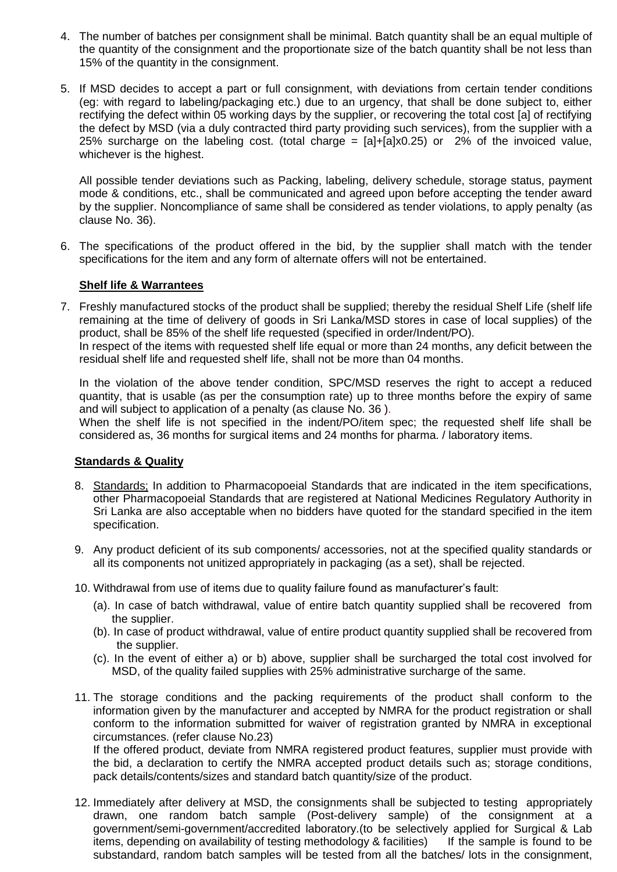- 4. The number of batches per consignment shall be minimal. Batch quantity shall be an equal multiple of the quantity of the consignment and the proportionate size of the batch quantity shall be not less than 15% of the quantity in the consignment.
- 5. If MSD decides to accept a part or full consignment, with deviations from certain tender conditions (eg: with regard to labeling/packaging etc.) due to an urgency, that shall be done subject to, either rectifying the defect within 05 working days by the supplier, or recovering the total cost [a] of rectifying the defect by MSD (via a duly contracted third party providing such services), from the supplier with a 25% surcharge on the labeling cost. (total charge =  $[a]+[a] \times 0.25$ ) or 2% of the invoiced value, whichever is the highest.

All possible tender deviations such as Packing, labeling, delivery schedule, storage status, payment mode & conditions, etc., shall be communicated and agreed upon before accepting the tender award by the supplier. Noncompliance of same shall be considered as tender violations, to apply penalty (as clause No. 36).

6. The specifications of the product offered in the bid, by the supplier shall match with the tender specifications for the item and any form of alternate offers will not be entertained.

#### **Shelf life & Warrantees**

7. Freshly manufactured stocks of the product shall be supplied; thereby the residual Shelf Life (shelf life remaining at the time of delivery of goods in Sri Lanka/MSD stores in case of local supplies) of the product, shall be 85% of the shelf life requested (specified in order/Indent/PO).

In respect of the items with requested shelf life equal or more than 24 months, any deficit between the residual shelf life and requested shelf life, shall not be more than 04 months.

In the violation of the above tender condition, SPC/MSD reserves the right to accept a reduced quantity, that is usable (as per the consumption rate) up to three months before the expiry of same and will subject to application of a penalty (as clause No. 36 ).

When the shelf life is not specified in the indent/PO/item spec; the requested shelf life shall be considered as, 36 months for surgical items and 24 months for pharma. / laboratory items.

#### **Standards & Quality**

- 8. Standards; In addition to Pharmacopoeial Standards that are indicated in the item specifications, other Pharmacopoeial Standards that are registered at National Medicines Regulatory Authority in Sri Lanka are also acceptable when no bidders have quoted for the standard specified in the item specification.
- 9. Any product deficient of its sub components/ accessories, not at the specified quality standards or all its components not unitized appropriately in packaging (as a set), shall be rejected.
- 10. Withdrawal from use of items due to quality failure found as manufacturer"s fault:
	- (a). In case of batch withdrawal, value of entire batch quantity supplied shall be recovered from the supplier.
	- (b). In case of product withdrawal, value of entire product quantity supplied shall be recovered from the supplier.
	- (c). In the event of either a) or b) above, supplier shall be surcharged the total cost involved for MSD, of the quality failed supplies with 25% administrative surcharge of the same.
- 11. The storage conditions and the packing requirements of the product shall conform to the information given by the manufacturer and accepted by NMRA for the product registration or shall conform to the information submitted for waiver of registration granted by NMRA in exceptional circumstances. (refer clause No.23)

If the offered product, deviate from NMRA registered product features, supplier must provide with the bid, a declaration to certify the NMRA accepted product details such as; storage conditions, pack details/contents/sizes and standard batch quantity/size of the product.

12. Immediately after delivery at MSD, the consignments shall be subjected to testing appropriately drawn, one random batch sample (Post-delivery sample) of the consignment at a government/semi-government/accredited laboratory.(to be selectively applied for Surgical & Lab items, depending on availability of testing methodology & facilities) If the sample is found to be substandard, random batch samples will be tested from all the batches/ lots in the consignment,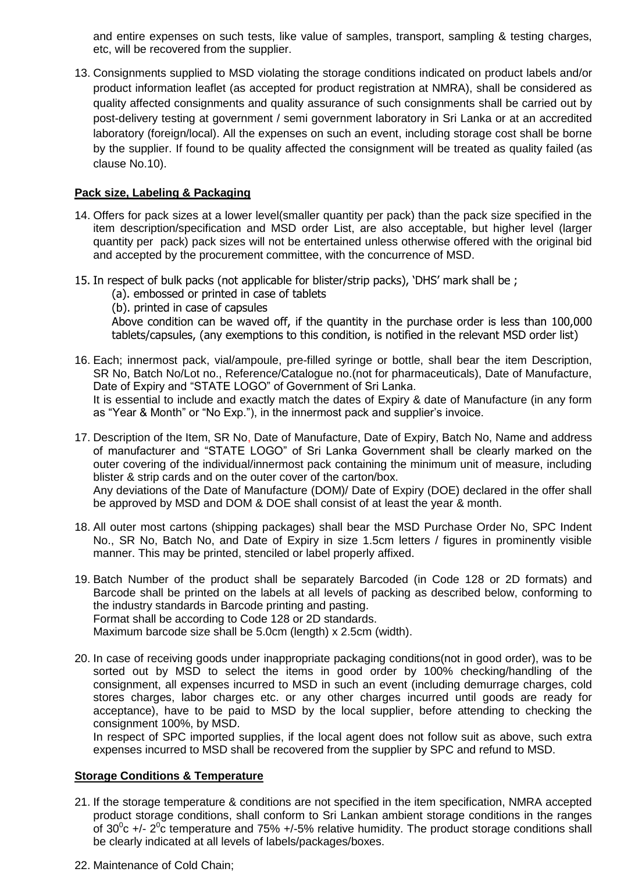and entire expenses on such tests, like value of samples, transport, sampling & testing charges, etc, will be recovered from the supplier.

13. Consignments supplied to MSD violating the storage conditions indicated on product labels and/or product information leaflet (as accepted for product registration at NMRA), shall be considered as quality affected consignments and quality assurance of such consignments shall be carried out by post-delivery testing at government / semi government laboratory in Sri Lanka or at an accredited laboratory (foreign/local). All the expenses on such an event, including storage cost shall be borne by the supplier. If found to be quality affected the consignment will be treated as quality failed (as clause No.10).

#### **Pack size, Labeling & Packaging**

- 14. Offers for pack sizes at a lower level(smaller quantity per pack) than the pack size specified in the item description/specification and MSD order List, are also acceptable, but higher level (larger quantity per pack) pack sizes will not be entertained unless otherwise offered with the original bid and accepted by the procurement committee, with the concurrence of MSD.
- 15. In respect of bulk packs (not applicable for blister/strip packs), 'DHS' mark shall be ;
	- (a). embossed or printed in case of tablets
	- (b). printed in case of capsules

Above condition can be waved off, if the quantity in the purchase order is less than 100,000 tablets/capsules, (any exemptions to this condition, is notified in the relevant MSD order list)

- 16. Each; innermost pack, vial/ampoule, pre-filled syringe or bottle, shall bear the item Description, SR No, Batch No/Lot no., Reference/Catalogue no.(not for pharmaceuticals), Date of Manufacture, Date of Expiry and "STATE LOGO" of Government of Sri Lanka. It is essential to include and exactly match the dates of Expiry & date of Manufacture (in any form as "Year & Month" or "No Exp."), in the innermost pack and supplier"s invoice.
- 17. Description of the Item, SR No, Date of Manufacture, Date of Expiry, Batch No, Name and address of manufacturer and "STATE LOGO" of Sri Lanka Government shall be clearly marked on the outer covering of the individual/innermost pack containing the minimum unit of measure, including blister & strip cards and on the outer cover of the carton/box. Any deviations of the Date of Manufacture (DOM)/ Date of Expiry (DOE) declared in the offer shall be approved by MSD and DOM & DOE shall consist of at least the year & month.
- 18. All outer most cartons (shipping packages) shall bear the MSD Purchase Order No, SPC Indent No., SR No, Batch No, and Date of Expiry in size 1.5cm letters / figures in prominently visible manner. This may be printed, stenciled or label properly affixed.
- 19. Batch Number of the product shall be separately Barcoded (in Code 128 or 2D formats) and Barcode shall be printed on the labels at all levels of packing as described below, conforming to the industry standards in Barcode printing and pasting. Format shall be according to Code 128 or 2D standards. Maximum barcode size shall be 5.0cm (length) x 2.5cm (width).
- 20. In case of receiving goods under inappropriate packaging conditions(not in good order), was to be sorted out by MSD to select the items in good order by 100% checking/handling of the consignment, all expenses incurred to MSD in such an event (including demurrage charges, cold stores charges, labor charges etc. or any other charges incurred until goods are ready for acceptance), have to be paid to MSD by the local supplier, before attending to checking the consignment 100%, by MSD.

In respect of SPC imported supplies, if the local agent does not follow suit as above, such extra expenses incurred to MSD shall be recovered from the supplier by SPC and refund to MSD.

#### **Storage Conditions & Temperature**

- 21. If the storage temperature & conditions are not specified in the item specification, NMRA accepted product storage conditions, shall conform to Sri Lankan ambient storage conditions in the ranges of 30 $\degree$ c +/- 2 $\degree$ c temperature and 75% +/-5% relative humidity. The product storage conditions shall be clearly indicated at all levels of labels/packages/boxes.
- 22. Maintenance of Cold Chain;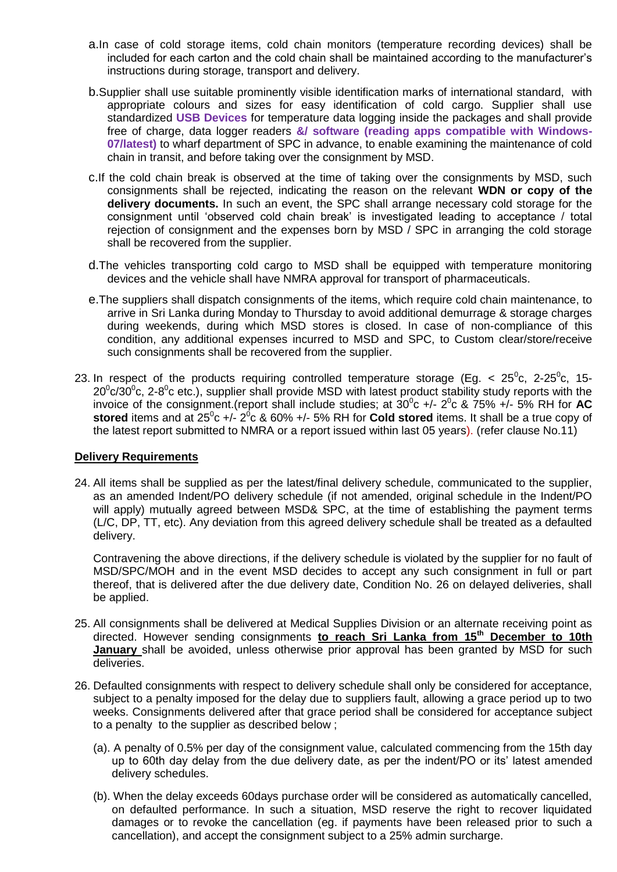- a.In case of cold storage items, cold chain monitors (temperature recording devices) shall be included for each carton and the cold chain shall be maintained according to the manufacturer"s instructions during storage, transport and delivery.
- b.Supplier shall use suitable prominently visible identification marks of international standard, with appropriate colours and sizes for easy identification of cold cargo. Supplier shall use standardized **USB Devices** for temperature data logging inside the packages and shall provide free of charge, data logger readers **&/ software (reading apps compatible with Windows-07/latest)** to wharf department of SPC in advance, to enable examining the maintenance of cold chain in transit, and before taking over the consignment by MSD.
- c.If the cold chain break is observed at the time of taking over the consignments by MSD, such consignments shall be rejected, indicating the reason on the relevant **WDN or copy of the delivery documents.** In such an event, the SPC shall arrange necessary cold storage for the consignment until "observed cold chain break" is investigated leading to acceptance / total rejection of consignment and the expenses born by MSD / SPC in arranging the cold storage shall be recovered from the supplier.
- d.The vehicles transporting cold cargo to MSD shall be equipped with temperature monitoring devices and the vehicle shall have NMRA approval for transport of pharmaceuticals.
- e.The suppliers shall dispatch consignments of the items, which require cold chain maintenance, to arrive in Sri Lanka during Monday to Thursday to avoid additional demurrage & storage charges during weekends, during which MSD stores is closed. In case of non-compliance of this condition, any additional expenses incurred to MSD and SPC, to Custom clear/store/receive such consignments shall be recovered from the supplier.
- 23. In respect of the products requiring controlled temperature storage (Eg. <  $25^{\circ}$ c, 2-25 $^{\circ}$ c, 15-20 $\degree$ c/30 $\degree$ c, 2-8 $\degree$ c etc.), supplier shall provide MSD with latest product stability study reports with the invoice of the consignment.(report shall include studies; at  $30^{\circ}$ c +/-  $2^{\circ}$ c &  $75\%$  +/- 5% RH for **AC** stored items and at  $25^{\circ}$ c +/-  $2^{\circ}$ c & 60% +/- 5% RH for **Cold stored** items. It shall be a true copy of the latest report submitted to NMRA or a report issued within last 05 years). (refer clause No.11)

#### **Delivery Requirements**

24. All items shall be supplied as per the latest/final delivery schedule, communicated to the supplier, as an amended Indent/PO delivery schedule (if not amended, original schedule in the Indent/PO will apply) mutually agreed between MSD& SPC, at the time of establishing the payment terms (L/C, DP, TT, etc). Any deviation from this agreed delivery schedule shall be treated as a defaulted delivery.

Contravening the above directions, if the delivery schedule is violated by the supplier for no fault of MSD/SPC/MOH and in the event MSD decides to accept any such consignment in full or part thereof, that is delivered after the due delivery date, Condition No. 26 on delayed deliveries, shall be applied.

- 25. All consignments shall be delivered at Medical Supplies Division or an alternate receiving point as directed. However sending consignments **to reach Sri Lanka from 15th December to 10th January** shall be avoided, unless otherwise prior approval has been granted by MSD for such deliveries.
- 26. Defaulted consignments with respect to delivery schedule shall only be considered for acceptance, subject to a penalty imposed for the delay due to suppliers fault, allowing a grace period up to two weeks. Consignments delivered after that grace period shall be considered for acceptance subject to a penalty to the supplier as described below ;
	- (a). A penalty of 0.5% per day of the consignment value, calculated commencing from the 15th day up to 60th day delay from the due delivery date, as per the indent/PO or its" latest amended delivery schedules.
	- (b). When the delay exceeds 60days purchase order will be considered as automatically cancelled, on defaulted performance. In such a situation, MSD reserve the right to recover liquidated damages or to revoke the cancellation (eg. if payments have been released prior to such a cancellation), and accept the consignment subject to a 25% admin surcharge.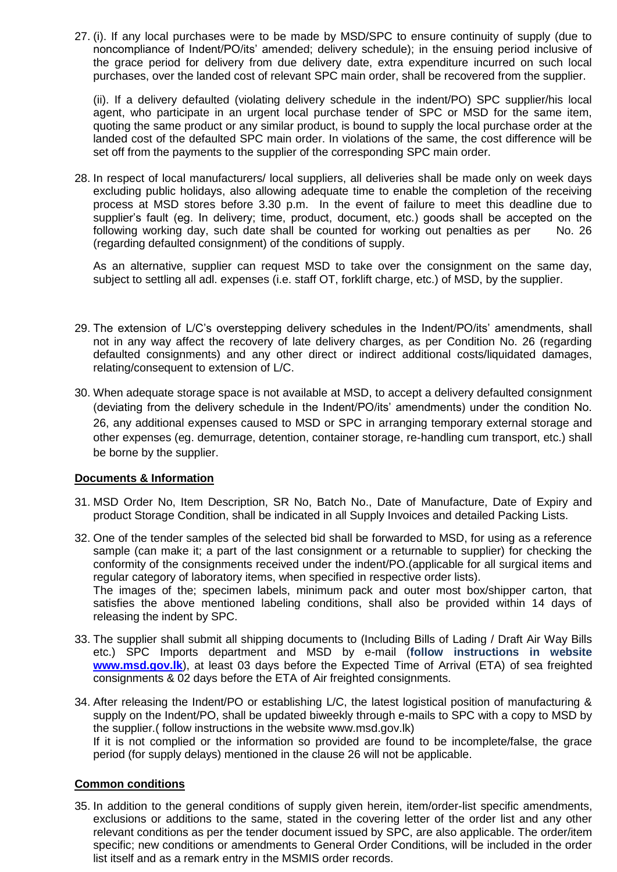27. (i). If any local purchases were to be made by MSD/SPC to ensure continuity of supply (due to noncompliance of Indent/PO/its" amended; delivery schedule); in the ensuing period inclusive of the grace period for delivery from due delivery date, extra expenditure incurred on such local purchases, over the landed cost of relevant SPC main order, shall be recovered from the supplier.

(ii). If a delivery defaulted (violating delivery schedule in the indent/PO) SPC supplier/his local agent, who participate in an urgent local purchase tender of SPC or MSD for the same item, quoting the same product or any similar product, is bound to supply the local purchase order at the landed cost of the defaulted SPC main order. In violations of the same, the cost difference will be set off from the payments to the supplier of the corresponding SPC main order.

28. In respect of local manufacturers/ local suppliers, all deliveries shall be made only on week days excluding public holidays, also allowing adequate time to enable the completion of the receiving process at MSD stores before 3.30 p.m. In the event of failure to meet this deadline due to supplier's fault (eg. In delivery; time, product, document, etc.) goods shall be accepted on the following working day, such date shall be counted for working out penalties as per No. 26 (regarding defaulted consignment) of the conditions of supply.

As an alternative, supplier can request MSD to take over the consignment on the same day, subject to settling all adl. expenses (i.e. staff OT, forklift charge, etc.) of MSD, by the supplier.

- 29. The extension of L/C"s overstepping delivery schedules in the Indent/PO/its" amendments, shall not in any way affect the recovery of late delivery charges, as per Condition No. 26 (regarding defaulted consignments) and any other direct or indirect additional costs/liquidated damages, relating/consequent to extension of L/C.
- 30. When adequate storage space is not available at MSD, to accept a delivery defaulted consignment (deviating from the delivery schedule in the Indent/PO/its" amendments) under the condition No. 26, any additional expenses caused to MSD or SPC in arranging temporary external storage and other expenses (eg. demurrage, detention, container storage, re-handling cum transport, etc.) shall be borne by the supplier.

#### **Documents & Information**

- 31. MSD Order No, Item Description, SR No, Batch No., Date of Manufacture, Date of Expiry and product Storage Condition, shall be indicated in all Supply Invoices and detailed Packing Lists.
- 32. One of the tender samples of the selected bid shall be forwarded to MSD, for using as a reference sample (can make it; a part of the last consignment or a returnable to supplier) for checking the conformity of the consignments received under the indent/PO.(applicable for all surgical items and regular category of laboratory items, when specified in respective order lists). The images of the; specimen labels, minimum pack and outer most box/shipper carton, that

satisfies the above mentioned labeling conditions, shall also be provided within 14 days of releasing the indent by SPC.

- 33. The supplier shall submit all shipping documents to (Including Bills of Lading / Draft Air Way Bills etc.) SPC Imports department and MSD by e-mail (**follow instructions in website [www.msd.gov.lk](http://www.msd.gov.lk/)**), at least 03 days before the Expected Time of Arrival (ETA) of sea freighted consignments & 02 days before the ETA of Air freighted consignments.
- 34. After releasing the Indent/PO or establishing L/C, the latest logistical position of manufacturing & supply on the Indent/PO, shall be updated biweekly through e-mails to SPC with a copy to MSD by the supplier.( follow instructions in the website www.msd.gov.lk) If it is not complied or the information so provided are found to be incomplete/false, the grace

period (for supply delays) mentioned in the clause 26 will not be applicable.

#### **Common conditions**

35. In addition to the general conditions of supply given herein, item/order-list specific amendments, exclusions or additions to the same, stated in the covering letter of the order list and any other relevant conditions as per the tender document issued by SPC, are also applicable. The order/item specific; new conditions or amendments to General Order Conditions, will be included in the order list itself and as a remark entry in the MSMIS order records.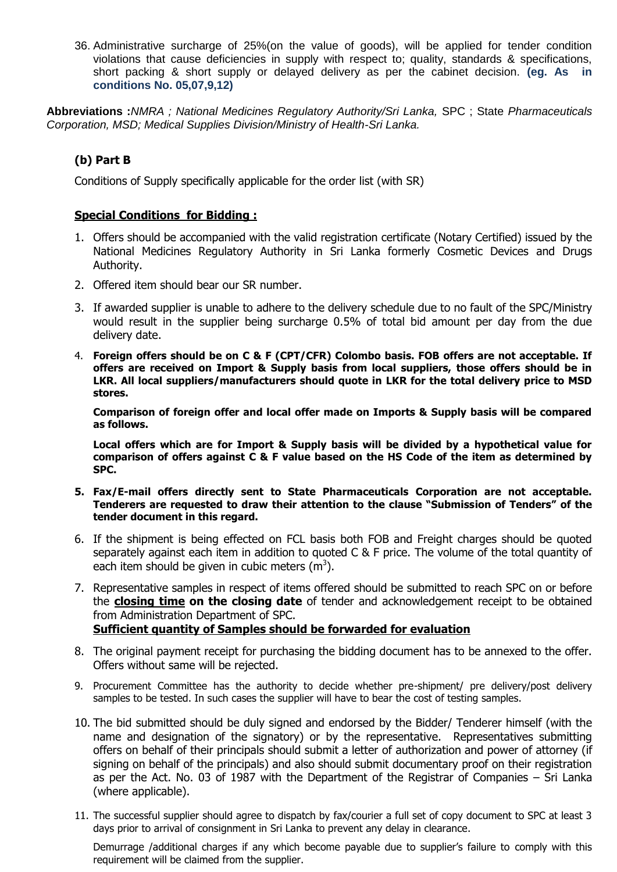36. Administrative surcharge of 25%(on the value of goods), will be applied for tender condition violations that cause deficiencies in supply with respect to; quality, standards & specifications, short packing & short supply or delayed delivery as per the cabinet decision. **(eg. As in conditions No. 05,07,9,12)**

**Abbreviations :***NMRA ; National Medicines Regulatory Authority/Sri Lanka,* SPC ; State *Pharmaceuticals Corporation, MSD; Medical Supplies Division/Ministry of Health-Sri Lanka.*

### **(b) Part B**

Conditions of Supply specifically applicable for the order list (with SR)

#### **Special Conditions for Bidding :**

- 1. Offers should be accompanied with the valid registration certificate (Notary Certified) issued by the National Medicines Regulatory Authority in Sri Lanka formerly Cosmetic Devices and Drugs Authority.
- 2. Offered item should bear our SR number.
- 3. If awarded supplier is unable to adhere to the delivery schedule due to no fault of the SPC/Ministry would result in the supplier being surcharge 0.5% of total bid amount per day from the due delivery date.
- 4. **Foreign offers should be on C & F (CPT/CFR) Colombo basis. FOB offers are not acceptable. If offers are received on Import & Supply basis from local suppliers, those offers should be in LKR. All local suppliers/manufacturers should quote in LKR for the total delivery price to MSD stores.**

**Comparison of foreign offer and local offer made on Imports & Supply basis will be compared as follows.**

**Local offers which are for Import & Supply basis will be divided by a hypothetical value for comparison of offers against C & F value based on the HS Code of the item as determined by SPC.**

- **5. Fax/E-mail offers directly sent to State Pharmaceuticals Corporation are not acceptable. Tenderers are requested to draw their attention to the clause "Submission of Tenders" of the tender document in this regard.**
- 6. If the shipment is being effected on FCL basis both FOB and Freight charges should be quoted separately against each item in addition to quoted C & F price. The volume of the total quantity of each item should be given in cubic meters  $(m^3)$ .
- 7. Representative samples in respect of items offered should be submitted to reach SPC on or before the **closing time on the closing date** of tender and acknowledgement receipt to be obtained from Administration Department of SPC. **Sufficient quantity of Samples should be forwarded for evaluation**
- 8. The original payment receipt for purchasing the bidding document has to be annexed to the offer. Offers without same will be rejected.
- 9. Procurement Committee has the authority to decide whether pre-shipment/ pre delivery/post delivery samples to be tested. In such cases the supplier will have to bear the cost of testing samples.
- 10. The bid submitted should be duly signed and endorsed by the Bidder/ Tenderer himself (with the name and designation of the signatory) or by the representative. Representatives submitting offers on behalf of their principals should submit a letter of authorization and power of attorney (if signing on behalf of the principals) and also should submit documentary proof on their registration as per the Act. No. 03 of 1987 with the Department of the Registrar of Companies – Sri Lanka (where applicable).
- 11. The successful supplier should agree to dispatch by fax/courier a full set of copy document to SPC at least 3 days prior to arrival of consignment in Sri Lanka to prevent any delay in clearance.

Demurrage /additional charges if any which become payable due to supplier"s failure to comply with this requirement will be claimed from the supplier.